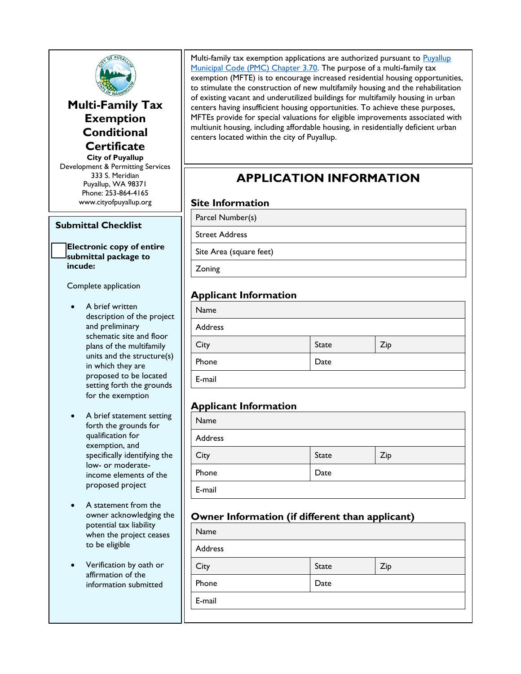

**Multi-Family Tax Exemption Conditional Certificate**

**City of Puyallup** Development & Permitting Services 333 S. Meridian Puyallup, WA 98371 Phone: 253-864-4165 www.cityofpuyallup.org

#### **Submittal Checklist**

#### **Electronic copy of entire submittal package to incude:**

Complete application

- A brief written description of the project and preliminary schematic site and floor plans of the multifamily units and the structure(s) in which they are proposed to be located setting forth the grounds for the exemption
- A brief statement setting forth the grounds for qualification for exemption, and specifically identifying the low- or moderateincome elements of the proposed project
- A statement from the owner acknowledging the potential tax liability when the project ceases to be eligible
- Verification by oath or affirmation of the information submitted

Multi-family tax exemption applications are authorized pursuant to Puyallup [Municipal Code \(PMC\) Chapter 3.70.](https://www.codepublishing.com/WA/Puyallup/#!/Puyallup03/Puyallup0370.html) The purpose of a multi-family tax exemption (MFTE) is to encourage increased residential housing opportunities, to stimulate the construction of new multifamily housing and the rehabilitation of existing vacant and underutilized buildings for multifamily housing in urban centers having insufficient housing opportunities. To achieve these purposes, MFTEs provide for special valuations for eligible improvements associated with multiunit housing, including affordable housing, in residentially deficient urban centers located within the city of Puyallup.

# **APPLICATION INFORMATION**

#### **Site Information**

Parcel Number(s)

Street Address

Site Area (square feet)

Zoning

#### **Applicant Information**

| Name    |              |     |
|---------|--------------|-----|
| Address |              |     |
| City    | <b>State</b> | Zip |
| Phone   | Date         |     |
| E-mail  |              |     |

#### **Applicant Information**

| Name    |       |     |
|---------|-------|-----|
| Address |       |     |
| City    | State | Zip |
| Phone   | Date  |     |
| E-mail  |       |     |

### **Owner Information (if different than applicant)**

| Name    |              |     |
|---------|--------------|-----|
| Address |              |     |
| City    | <b>State</b> | Zip |
| Phone   | Date         |     |
| E-mail  |              |     |
|         |              |     |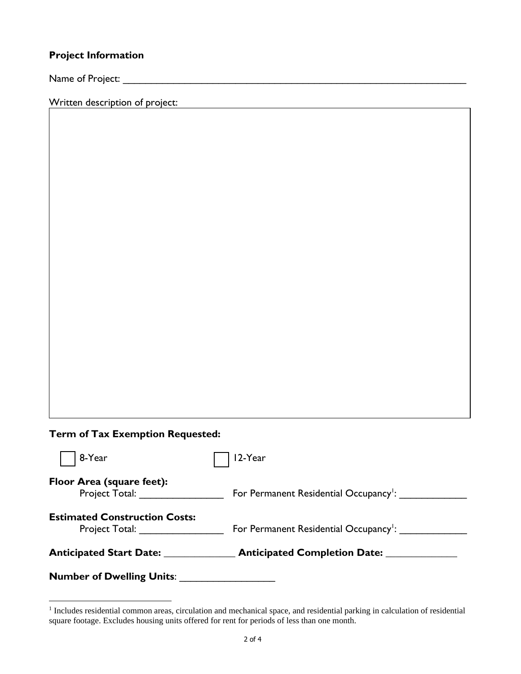## **Project Information**

Name of Project: \_\_\_\_\_\_\_\_\_\_\_\_\_\_\_\_\_\_\_\_\_\_\_\_\_\_\_\_\_\_\_\_\_\_\_\_\_\_\_\_\_\_\_\_\_\_\_\_\_\_\_\_\_\_\_\_\_\_\_\_\_

Written description of project:

# **Term of Tax Exemption Requested:**

| <b>Number of Dwelling Units:</b>                                                                                                                       |                                                    |
|--------------------------------------------------------------------------------------------------------------------------------------------------------|----------------------------------------------------|
| <b>Anticipated Start Date:</b>                                                                                                                         | <b>Anticipated Completion Date:</b>                |
| <b>Estimated Construction Costs:</b><br>Project Total: The control of the control of the control of the control of the control of the control of the c | For Permanent Residential Occupancy <sup>1</sup> : |
| Floor Area (square feet):<br>Project Total:                                                                                                            | For Permanent Residential Occupancy <sup>1</sup> : |
| 8-Year                                                                                                                                                 | 12-Year                                            |

<sup>&</sup>lt;sup>1</sup> Includes residential common areas, circulation and mechanical space, and residential parking in calculation of residential square footage. Excludes housing units offered for rent for periods of less than one month.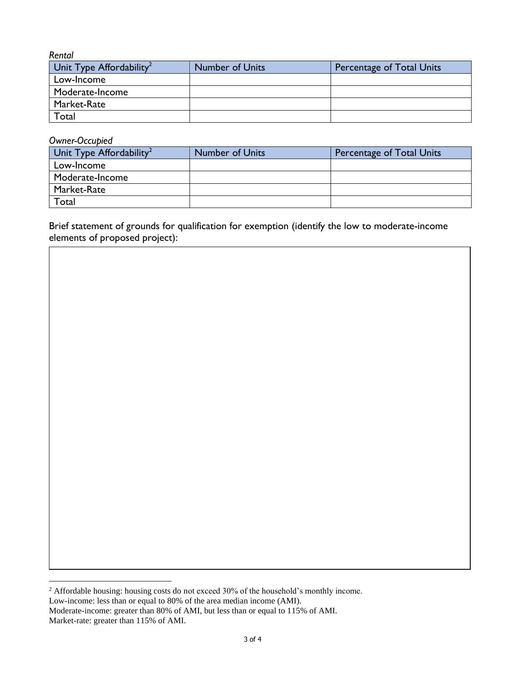**Rental**<br>Unit Type Affordability<sup>2</sup> Number of Units **Percentage of Total Units** Low-Income Moderate-Income Market-Rate Total

#### *Owner-Occupied*

| Unit Type Affordability <sup>2</sup> | <b>Number of Units</b> | Percentage of Total Units |
|--------------------------------------|------------------------|---------------------------|
| Low-Income                           |                        |                           |
| Moderate-Income                      |                        |                           |
| Market-Rate                          |                        |                           |
| Total                                |                        |                           |

Brief statement of grounds for qualification for exemption (identify the low to moderate-income elements of proposed project):

<sup>&</sup>lt;sup>2</sup> Affordable housing: housing costs do not exceed 30% of the household's monthly income. Low-income: less than or equal to 80% of the area median income (AMI).

Moderate-income: greater than 80% of AMI, but less than or equal to 115% of AMI. Market-rate: greater than 115% of AMI.